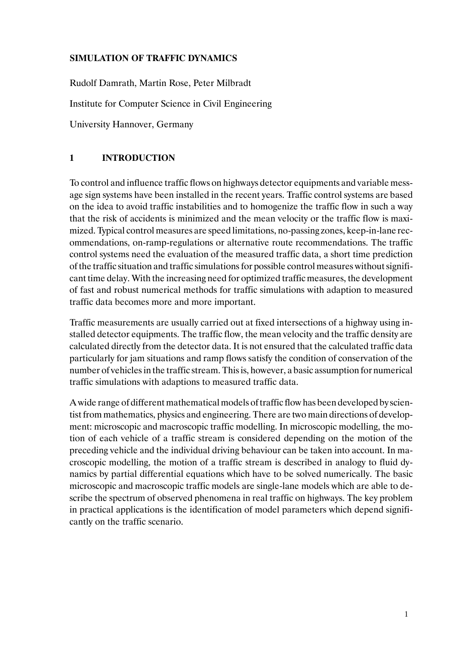# **SIMULATION OF TRAFFIC DYNAMICS**

**Bild 2.** Rudolf Damrath, Martin Rose, Peter Milbradt Institute for Computer Science in Civil Engineering University Hannover, Germany

# **1 INTRODUCTION**

To control and influence traffic flows on highways detector equipments and variable message sign systems have been installed in the recent years. Traffic control systems are based on the idea to avoid traffic instabilities and to homogenize the traffic flow in such a way that the risk of accidents is minimized and the mean velocity or the traffic flow is maximized. Typical control measures are speed limitations, no-passing zones, keep-in-lane recommendations, on-ramp-regulations or alternative route recommendations. The traffic control systems need the evaluation of the measured traffic data, a short time prediction of the traffic situation and traffic simulations for possible control measures without significant time delay. With the increasing need for optimized traffic measures, the development of fast and robust numerical methods for traffic simulations with adaption to measured traffic data becomes more and more important.

Traffic measurements are usually carried out at fixed intersections of a highway using installed detector equipments. The traffic flow, the mean velocity and the traffic density are calculated directly from the detector data. It is not ensured that the calculated traffic data particularly for jam situations and ramp flows satisfy the condition of conservation of the number of vehicles in the traffic stream. This is, however, a basic assumption for numerical traffic simulations with adaptions to measured traffic data.

A wide range of different mathematical models of traffic flow has been developed by scientist from mathematics, physics and engineering. There are two main directions of development: microscopic and macroscopic traffic modelling. In microscopic modelling, the motion of each vehicle of a traffic stream is considered depending on the motion of the preceding vehicle and the individual driving behaviour can be taken into account. In macroscopic modelling, the motion of a traffic stream is described in analogy to fluid dynamics by partial differential equations which have to be solved numerically. The basic microscopic and macroscopic traffic models are single-lane models which are able to describe the spectrum of observed phenomena in real traffic on highways. The key problem in practical applications is the identification of model parameters which depend significantly on the traffic scenario.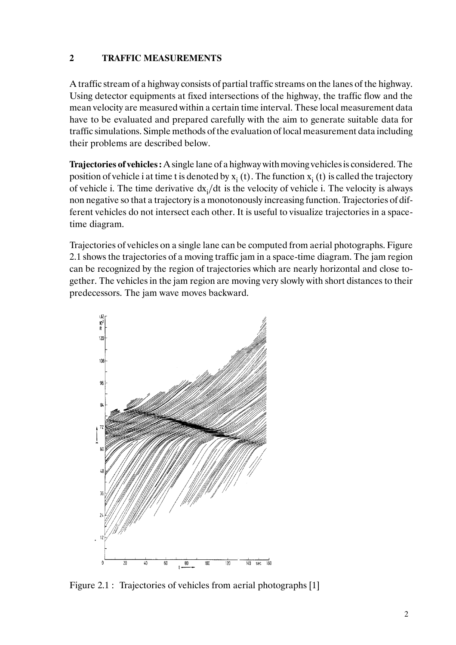# **2 TRAFFIC MEASUREMENTS**

A traffic stream of a highway consists of partial traffic streams on the lanes of the highway. Using detector equipments at fixed intersections of the highway, the traffic flow and the mean velocity are measured within a certain time interval. These local measurement data have to be evaluated and prepared carefully with the aim to generate suitable data for traffic simulations. Simple methods of the evaluation of local measurement data including their problems are described below.

**Trajectories of vehicles:** A single lane of a highway with moving vehicles is considered. The position of vehicle i at time t is denoted by  $x_i$  (t). The function  $x_i$  (t) is called the trajectory of vehicle i. The time derivative  $dx_i/dt$  is the velocity of vehicle i. The velocity is always non negative so that a trajectory is a monotonously increasing function. Trajectories of different vehicles do not intersect each other. It is useful to visualize trajectories in a spacetime diagram.

Trajectories of vehicles on a single lane can be computed from aerial photographs. Figure 2.1 shows the trajectories of a moving traffic jam in a space-time diagram. The jam region can be recognized by the region of trajectories which are nearly horizontal and close together. The vehicles in the jam region are moving very slowly with short distances to their predecessors. The jam wave moves backward.



Figure 2.1 : Trajectories of vehicles from aerial photographs [1]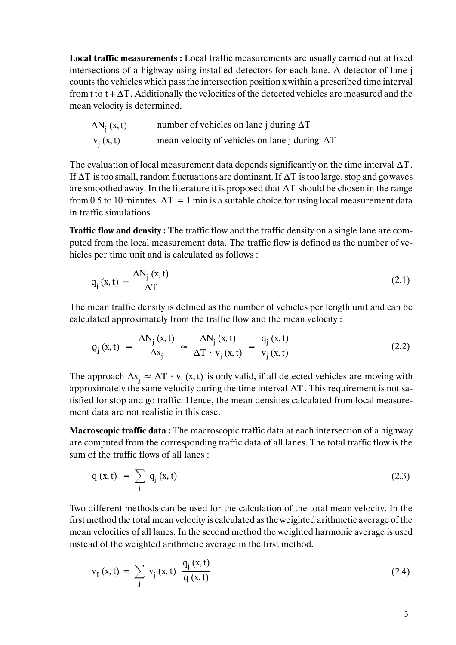**Local traffic measurements :** Local traffic measurements are usually carried out at fixed intersections of a highway using installed detectors for each lane. A detector of lane j counts the vehicles which pass the intersection position x within a prescribed time interval from t to  $t + \Delta T$ . Additionally the velocities of the detected vehicles are measured and the mean velocity is determined.

| $\Delta N_i(x, t)$ | number of vehicles on lane j during $\Delta T$        |
|--------------------|-------------------------------------------------------|
| $v_i(x, t)$        | mean velocity of vehicles on lane j during $\Delta T$ |

The evaluation of local measurement data depends significantly on the time interval ∆T. If ∆T is too small, random fluctuations are dominant. If ∆T is too large, stop and go waves are smoothed away. In the literature it is proposed that  $\Delta T$  should be chosen in the range from 0.5 to 10 minutes.  $\Delta T = 1$  min is a suitable choice for using local measurement data in traffic simulations.

**Traffic flow and density :** The traffic flow and the traffic density on a single lane are computed from the local measurement data. The traffic flow is defined as the number of vehicles per time unit and is calculated as follows :

$$
q_j(x,t) = \frac{\Delta N_j(x,t)}{\Delta T}
$$
 (2.1)

The mean traffic density is defined as the number of vehicles per length unit and can be calculated approximately from the traffic flow and the mean velocity :

$$
\varrho_{j}(x,t) = \frac{\Delta N_{j}(x,t)}{\Delta x_{j}} \approx \frac{\Delta N_{j}(x,t)}{\Delta T \cdot v_{j}(x,t)} = \frac{q_{j}(x,t)}{v_{j}(x,t)}
$$
(2.2)

The approach  $\Delta x_i \approx \Delta T \cdot v_i(x, t)$  is only valid, if all detected vehicles are moving with approximately the same velocity during the time interval  $\Delta T$ . This requirement is not satisfied for stop and go traffic. Hence, the mean densities calculated from local measurement data are not realistic in this case.

**Macroscopic traffic data :** The macroscopic traffic data at each intersection of a highway are computed from the corresponding traffic data of all lanes. The total traffic flow is the sum of the traffic flows of all lanes :

$$
q(x,t) = \sum_{j} q_j(x,t) \tag{2.3}
$$

Two different methods can be used for the calculation of the total mean velocity. In the first method the total mean velocity is calculated as the weighted arithmetic average of the mean velocities of all lanes. In the second method the weighted harmonic average is used instead of the weighted arithmetic average in the first method.

$$
v_{I}(x, t) = \sum_{j} v_{j}(x, t) \frac{q_{j}(x, t)}{q(x, t)}
$$
(2.4)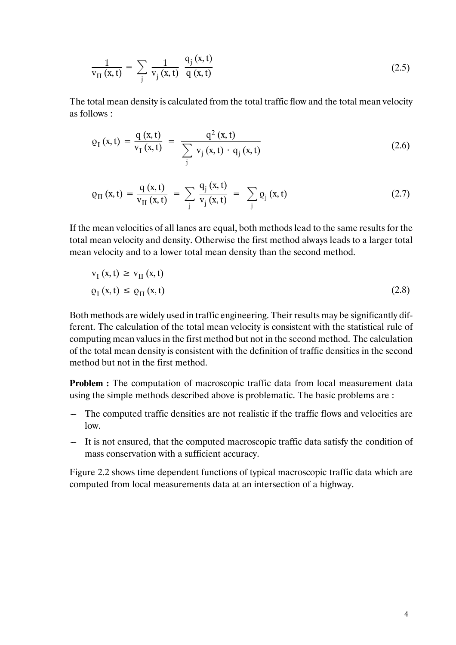$$
\frac{1}{v_{II}(x,t)} = \sum_{j} \frac{1}{v_j(x,t)} \frac{q_j(x,t)}{q(x,t)}
$$
(2.5)

The total mean density is calculated from the total traffic flow and the total mean velocity as follows :

$$
\varrho_{I}(x,t) = \frac{q(x,t)}{v_{I}(x,t)} = \frac{q^{2}(x,t)}{\sum_{j} v_{j}(x,t) \cdot q_{j}(x,t)}
$$
(2.6)

$$
\varrho_{II}(x,t) = \frac{q(x,t)}{v_{II}(x,t)} = \sum_{j} \frac{q_j(x,t)}{v_j(x,t)} = \sum_{j} \varrho_j(x,t)
$$
 (2.7)

If the mean velocities of all lanes are equal, both methods lead to the same results for the total mean velocity and density. Otherwise the first method always leads to a larger total mean velocity and to a lower total mean density than the second method.

$$
v_{I}(x, t) \ge v_{II}(x, t)
$$
  
\n
$$
\varrho_{I}(x, t) \le \varrho_{II}(x, t)
$$
\n(2.8)

Both methods are widely used in traffic engineering. Their results may be significantly different. The calculation of the total mean velocity is consistent with the statistical rule of computing mean values in the first method but not in the second method. The calculation of the total mean density is consistent with the definition of traffic densities in the second method but not in the first method.

**Problem :** The computation of macroscopic traffic data from local measurement data using the simple methods described above is problematic. The basic problems are :

- The computed traffic densities are not realistic if the traffic flows and velocities are  $low$
- It is not ensured, that the computed macroscopic traffic data satisfy the condition of mass conservation with a sufficient accuracy.

Figure 2.2 shows time dependent functions of typical macroscopic traffic data which are computed from local measurements data at an intersection of a highway.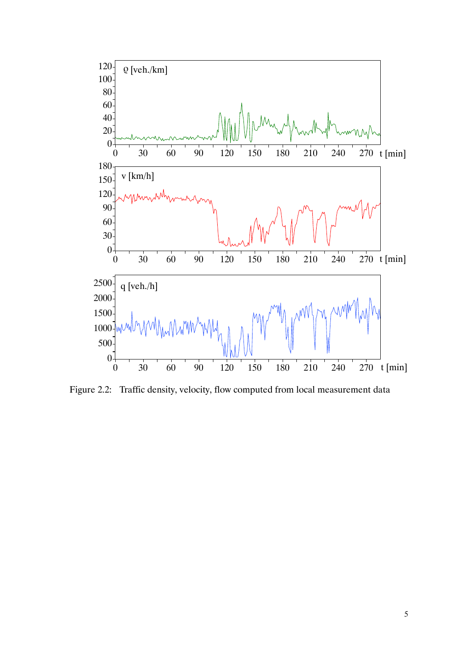

Figure 2.2: Traffic density, velocity, flow computed from local measurement data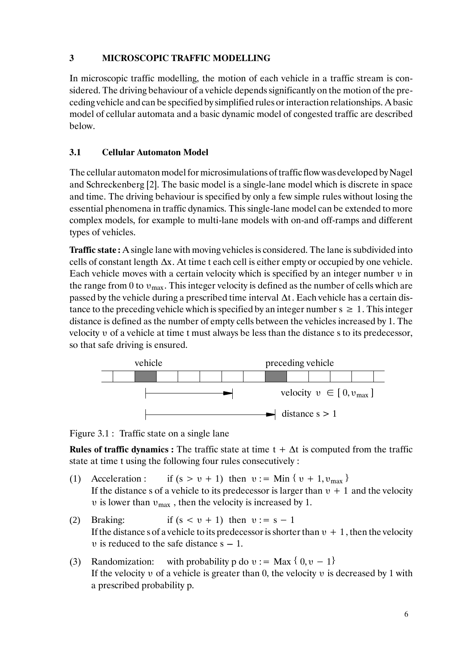# **3 MICROSCOPIC TRAFFIC MODELLING**

In microscopic traffic modelling, the motion of each vehicle in a traffic stream is considered. The driving behaviour of a vehicle depends significantly on the motion of the preceding vehicle and can be specified by simplified rules or interaction relationships. A basic model of cellular automata and a basic dynamic model of congested traffic are described below.

# **3.1 Cellular Automaton Model**

The cellular automaton model for microsimulations of traffic flow was developed by Nagel and Schreckenberg [2]. The basic model is a single-lane model which is discrete in space and time. The driving behaviour is specified by only a few simple rules without losing the essential phenomena in traffic dynamics. This single-lane model can be extended to more complex models, for example to multi-lane models with on-and off-ramps and different types of vehicles.

**Traffic state :** A single lane with moving vehicles is considered. The lane is subdivided into cells of constant length ∆x. At time t each cell is either empty or occupied by one vehicle. Each vehicle moves with a certain velocity which is specified by an integer number υ in the range from 0 to  $v_{\text{max}}$ . This integer velocity is defined as the number of cells which are passed by the vehicle during a prescribed time interval ∆t . Each vehicle has a certain distance to the preceding vehicle which is specified by an integer number  $s \geq 1$ . This integer distance is defined as the number of empty cells between the vehicles increased by 1. The velocity υ of a vehicle at time t must always be less than the distance s to its predecessor, so that safe driving is ensured.



Figure 3.1 : Traffic state on a single lane

**Rules of traffic dynamics :** The traffic state at time  $t + \Delta t$  is computed from the traffic state at time t using the following four rules consecutively :

- (1) Acceleration : if  $(s > v + 1)$  then  $v := \text{Min} \{ v + 1, v_{\text{max}} \}$ If the distance s of a vehicle to its predecessor is larger than  $v + 1$  and the velocity υ is lower than  $υ_{max}$ , then the velocity is increased by 1.
- (2) Braking: if  $(s < v + 1)$  then  $v := s 1$ If the distance s of a vehicle to its predecessor is shorter than  $v + 1$ , then the velocity  $\nu$  is reduced to the safe distance  $s - 1$ .
- (3) Randomization: with probability p do  $v := Max \{ 0, v 1 \}$ If the velocity  $\nu$  of a vehicle is greater than 0, the velocity  $\nu$  is decreased by 1 with a prescribed probability p.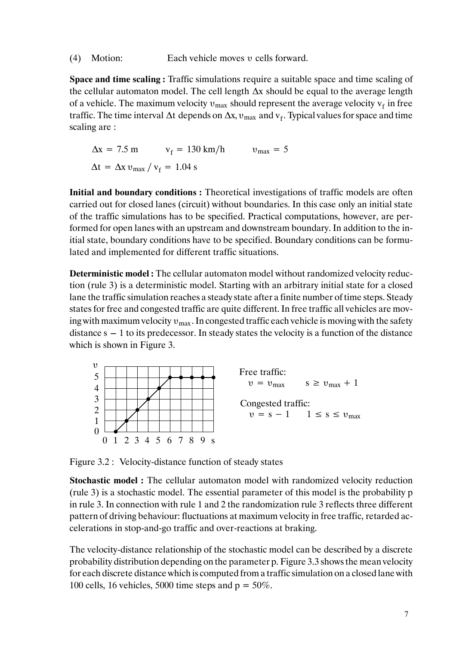(4) Motion: Each vehicle moves υ cells forward.

**Space and time scaling :** Traffic simulations require a suitable space and time scaling of the cellular automaton model. The cell length ∆x should be equal to the average length of a vehicle. The maximum velocity  $v_{max}$  should represent the average velocity  $v_f$  in free traffic. The time interval  $\Delta t$  depends on  $\Delta x$ ,  $v_{\text{max}}$  and  $v_f$ . Typical values for space and time scaling are :

 $\Delta x = 7.5 \text{ m}$   $v_f = 130 \text{ km/h}$   $v_{\text{max}} = 5$  $\Delta t = \Delta x v_{\text{max}} / v_f = 1.04$  s

**Initial and boundary conditions :** Theoretical investigations of traffic models are often carried out for closed lanes (circuit) without boundaries. In this case only an initial state of the traffic simulations has to be specified. Practical computations, however, are performed for open lanes with an upstream and downstream boundary. In addition to the initial state, boundary conditions have to be specified. Boundary conditions can be formulated and implemented for different traffic situations.

**Deterministic model :** The cellular automaton model without randomized velocity reduction (rule 3) is a deterministic model. Starting with an arbitrary initial state for a closed lane the traffic simulation reaches a steady state after a finite number of time steps. Steady states for free and congested traffic are quite different. In free traffic all vehicles are moving with maximum velocity  $v_{\text{max}}$ . In congested traffic each vehicle is moving with the safety distance  $s-1$  to its predecessor. In steady states the velocity is a function of the distance which is shown in Figure 3.



Figure 3.2 : Velocity-distance function of steady states

**Stochastic model :** The cellular automaton model with randomized velocity reduction (rule 3) is a stochastic model. The essential parameter of this model is the probability p in rule 3. In connection with rule 1 and 2 the randomization rule 3 reflects three different pattern of driving behaviour: fluctuations at maximum velocity in free traffic, retarded accelerations in stop-and-go traffic and over-reactions at braking.

The velocity-distance relationship of the stochastic model can be described by a discrete probability distribution depending on the parameter p. Figure 3.3 shows the mean velocity for each discrete distance which is computed from a traffic simulation on a closed lane with 100 cells, 16 vehicles, 5000 time steps and  $p = 50\%$ .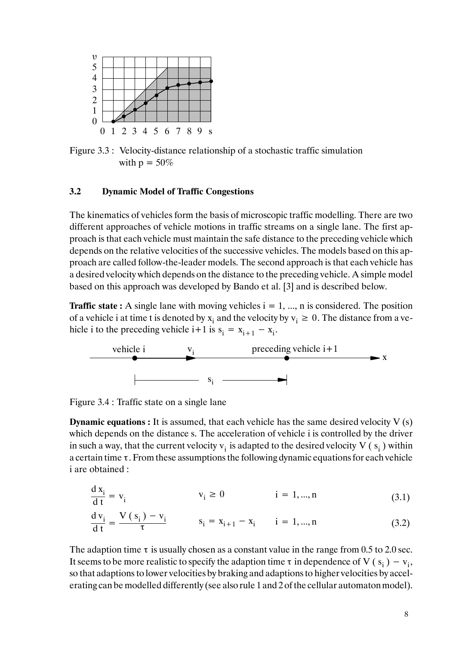

Figure 3.3 : Velocity-distance relationship of a stochastic traffic simulation with  $p = 50\%$ 

#### **3.2 Dynamic Model of Traffic Congestions**

The kinematics of vehicles form the basis of microscopic traffic modelling. There are two different approaches of vehicle motions in traffic streams on a single lane. The first approach is that each vehicle must maintain the safe distance to the preceding vehicle which depends on the relative velocities of the successive vehicles. The models based on this approach are called follow-the-leader models. The second approach is that each vehicle has a desired velocity which depends on the distance to the preceding vehicle. A simple model based on this approach was developed by Bando et al. [3] and is described below.

**Traffic state :** A single lane with moving vehicles  $i = 1, ..., n$  is considered. The position of a vehicle i at time t is denoted by  $x_i$  and the velocity by  $v_i \ge 0$ . The distance from a vehicle i to the preceding vehicle i+1 is  $s_i = x_{i+1} - x_i$ .



Figure 3.4 : Traffic state on a single lane

**Dynamic equations :** It is assumed, that each vehicle has the same desired velocity V (s) which depends on the distance s. The acceleration of vehicle i is controlled by the driver in such a way, that the current velocity  $v_i$  is adapted to the desired velocity V ( $s_i$ ) within a certain time τ. From these assumptions the following dynamic equations for each vehicle i are obtained :

$$
\frac{d x_i}{dt} = v_i \qquad \qquad v_i \ge 0 \qquad \qquad i = 1, ..., n \qquad (3.1)
$$

$$
\frac{d\,v_i}{dt} = \frac{V\,(s_i) - v_i}{\tau} \qquad s_i = x_{i+1} - x_i \qquad i = 1, ..., n \tag{3.2}
$$

The adaption time  $\tau$  is usually chosen as a constant value in the range from 0.5 to 2.0 sec. It seems to be more realistic to specify the adaption time  $\tau$  in dependence of V (s<sub>i</sub>) – v<sub>i</sub>, so that adaptions to lower velocities by braking and adaptions to higher velocities by accelerating can be modelled differently (see also rule 1 and 2 of the cellular automaton model).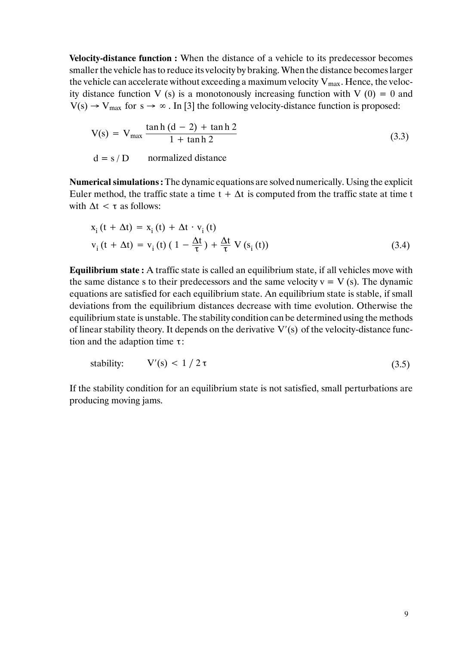**Velocity-distance function :** When the distance of a vehicle to its predecessor becomes smaller the vehicle has to reduce its velocity by braking. When the distance becomes larger the vehicle can accelerate without exceeding a maximum velocity  $V_{max}$ . Hence, the velocity distance function V (s) is a monotonously increasing function with V (0) = 0 and  $V(s) \rightarrow V_{\text{max}}$  for  $s \rightarrow \infty$ . In [3] the following velocity-distance function is proposed:

$$
V(s) = V_{\text{max}} \frac{\tanh (d - 2) + \tanh 2}{1 + \tanh 2}
$$
 (3.3)

 $d = s/D$  normalized distance

**Numerical simulations :** The dynamic equations are solved numerically. Using the explicit Euler method, the traffic state a time  $t + \Delta t$  is computed from the traffic state at time t with  $\Delta t < \tau$  as follows:

$$
x_{i}(t + \Delta t) = x_{i}(t) + \Delta t \cdot v_{i}(t)
$$
  
\n
$$
v_{i}(t + \Delta t) = v_{i}(t) (1 - \frac{\Delta t}{\tau}) + \frac{\Delta t}{\tau} V(s_{i}(t))
$$
\n(3.4)

**Equilibrium state :** A traffic state is called an equilibrium state, if all vehicles move with the same distance s to their predecessors and the same velocity  $v = V(s)$ . The dynamic equations are satisfied for each equilibrium state. An equilibrium state is stable, if small deviations from the equilibrium distances decrease with time evolution. Otherwise the equilibrium state is unstable. The stability condition can be determined using the methods of linear stability theory. It depends on the derivative V′(s) of the velocity-distance function and the adaption time τ:

$$
Stability: \tV'(s) < 1/2\tau \t(3.5)
$$

If the stability condition for an equilibrium state is not satisfied, small perturbations are producing moving jams.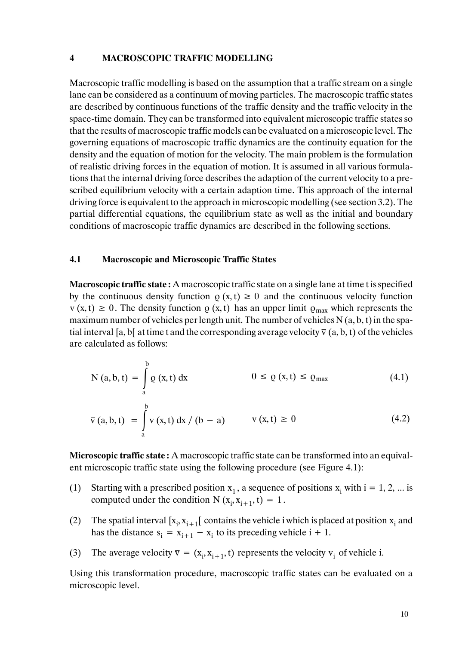#### **4 MACROSCOPIC TRAFFIC MODELLING**

Macroscopic traffic modelling is based on the assumption that a traffic stream on a single lane can be considered as a continuum of moving particles. The macroscopic traffic states are described by continuous functions of the traffic density and the traffic velocity in the space-time domain. They can be transformed into equivalent microscopic traffic states so that the results of macroscopic traffic models can be evaluated on a microscopic level. The governing equations of macroscopic traffic dynamics are the continuity equation for the density and the equation of motion for the velocity. The main problem is the formulation of realistic driving forces in the equation of motion. It is assumed in all various formulations that the internal driving force describes the adaption of the current velocity to a prescribed equilibrium velocity with a certain adaption time. This approach of the internal driving force is equivalent to the approach in microscopic modelling (see section 3.2). The partial differential equations, the equilibrium state as well as the initial and boundary conditions of macroscopic traffic dynamics are described in the following sections.

### **4.1 Macroscopic and Microscopic Traffic States**

a

**Macroscopic traffic state :** A macroscopic traffic state on a single lane at time t is specified by the continuous density function  $\rho(x, t) \ge 0$  and the continuous velocity function  $v (x, t) \ge 0$ . The density function  $\rho (x, t)$  has an upper limit  $\rho_{max}$  which represents the maximum number of vehicles per length unit. The number of vehicles  $N(a, b, t)$  in the spatial interval [a, b] at time t and the corresponding average velocity  $\bar{v}$  (a, b, t) of the vehicles are calculated as follows:

$$
N (a, b, t) = \int_{a}^{b} \varrho (x, t) dx \qquad 0 \le \varrho (x, t) \le \varrho_{max} \qquad (4.1)
$$
  

$$
\overline{v} (a, b, t) = \int_{a}^{b} v (x, t) dx / (b - a) \qquad v (x, t) \ge 0 \qquad (4.2)
$$

**Microscopic traffic state :** A macroscopic traffic state can be transformed into an equivalent microscopic traffic state using the following procedure (see Figure 4.1):

- (1) Starting with a prescribed position  $x_1$ , a sequence of positions  $x_i$  with  $i = 1, 2, ...$  is computed under the condition  $N(x_i, x_{i+1}, t) = 1$ .
- (2) The spatial interval  $[x_i, x_{i+1}]$  contains the vehicle i which is placed at position  $x_i$  and has the distance  $s_i = x_{i+1} - x_i$  to its preceding vehicle  $i + 1$ .
- (3) The average velocity  $\overline{v} = (x_i, x_{i+1}, t)$  represents the velocity  $v_i$  of vehicle i.

Using this transformation procedure, macroscopic traffic states can be evaluated on a microscopic level.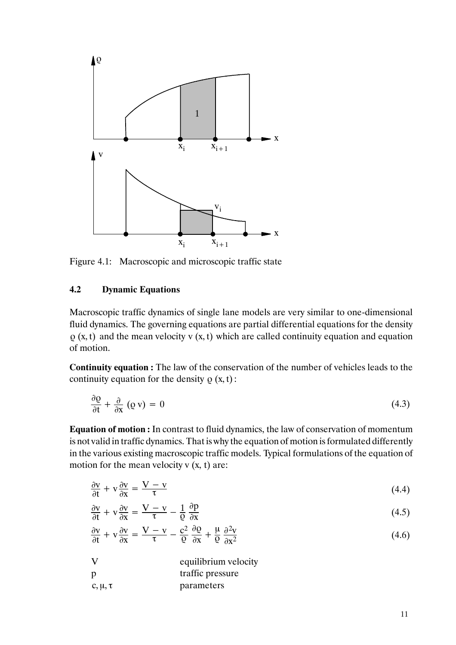

Figure 4.1: Macroscopic and microscopic traffic state

# **4.2 Dynamic Equations**

Macroscopic traffic dynamics of single lane models are very similar to one-dimensional fluid dynamics. The governing equations are partial differential equations for the density  $\varrho$  (x, t) and the mean velocity v (x, t) which are called continuity equation and equation of motion.

**Continuity equation :** The law of the conservation of the number of vehicles leads to the continuity equation for the density  $\rho(x, t)$ :

$$
\frac{\partial \varrho}{\partial t} + \frac{\partial}{\partial x} (\varrho \, v) = 0 \tag{4.3}
$$

**Equation of motion :** In contrast to fluid dynamics, the law of conservation of momentum is not valid in traffic dynamics. That is why the equation of motion is formulated differently in the various existing macroscopic traffic models. Typical formulations of the equation of motion for the mean velocity  $v(x, t)$  are:

$$
\frac{\partial v}{\partial t} + v \frac{\partial v}{\partial x} = \frac{V - v}{\tau}
$$
\n(4.4)

$$
\frac{\partial v}{\partial t} + v \frac{\partial v}{\partial x} = \frac{V - v}{\tau} - \frac{1}{\rho} \frac{\partial p}{\partial x}
$$
(4.5)

$$
\frac{\partial v}{\partial t} + v \frac{\partial v}{\partial x} = \frac{V - v}{\tau} - \frac{c^2}{Q} \frac{\partial \varrho}{\partial x} + \frac{\mu}{Q} \frac{\partial^2 v}{\partial x^2}
$$
(4.6)

| V              | equilibrium velocity |
|----------------|----------------------|
| <sup>p</sup>   | traffic pressure     |
| $c, \mu, \tau$ | parameters           |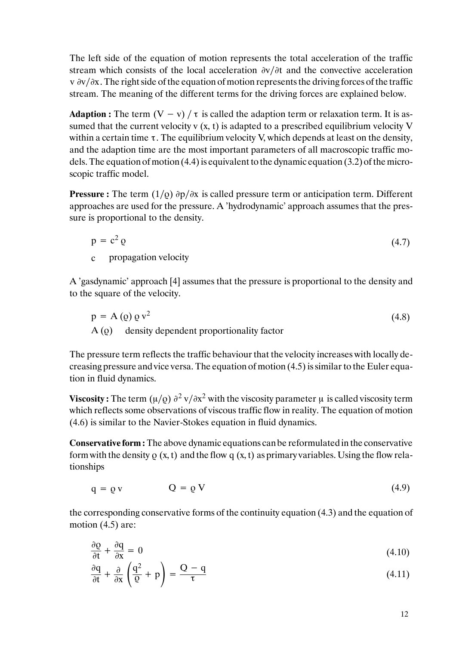The left side of the equation of motion represents the total acceleration of the traffic stream which consists of the local acceleration ∂v/∂t and the convective acceleration v ∂v∕∂x. The right side of the equation of motion represents the driving forces of the traffic stream. The meaning of the different terms for the driving forces are explained below.

**Adaption :** The term  $(V - v) / \tau$  is called the adaption term or relaxation term. It is assumed that the current velocity v  $(x, t)$  is adapted to a prescribed equilibrium velocity V within a certain time  $\tau$ . The equilibrium velocity V, which depends at least on the density, and the adaption time are the most important parameters of all macroscopic traffic models. The equation of motion (4.4) is equivalent to the dynamic equation (3.2) of the microscopic traffic model.

**Pressure :** The term (1∕ρ) ∂p∕∂x is called pressure term or anticipation term. Different approaches are used for the pressure. A 'hydrodynamic' approach assumes that the pressure is proportional to the density.

$$
p = c2 \varrho
$$
 (4.7)  
c propagation velocity (4.7)

A 'gasdynamic' approach [4] assumes that the pressure is proportional to the density and to the square of the velocity.

$$
p = A (Q) Q v2
$$
  
\n
$$
A (Q) density dependent proportionality factor
$$
\n(4.8)

The pressure term reflects the traffic behaviour that the velocity increases with locally decreasing pressure and vice versa. The equation of motion (4.5) is similar to the Euler equation in fluid dynamics.

**Viscosity :** The term  $(\mu/\rho) \frac{\partial^2 v}{\partial x^2}$  with the viscosity parameter  $\mu$  is called viscosity term which reflects some observations of viscous traffic flow in reality. The equation of motion (4.6) is similar to the Navier-Stokes equation in fluid dynamics.

**Conservative form :** The above dynamic equations can be reformulatedin the conservative form with the density  $\rho(x, t)$  and the flow q  $(x, t)$  as primary variables. Using the flow relationships

$$
q = \varrho v \qquad \qquad Q = \varrho V \tag{4.9}
$$

the corresponding conservative forms of the continuity equation (4.3) and the equation of motion (4.5) are:

$$
\frac{\partial \varrho}{\partial t} + \frac{\partial q}{\partial x} = 0 \tag{4.10}
$$

$$
\frac{\partial q}{\partial t} + \frac{\partial}{\partial x} \left( \frac{q^2}{Q} + p \right) = \frac{Q - q}{\tau}
$$
\n(4.11)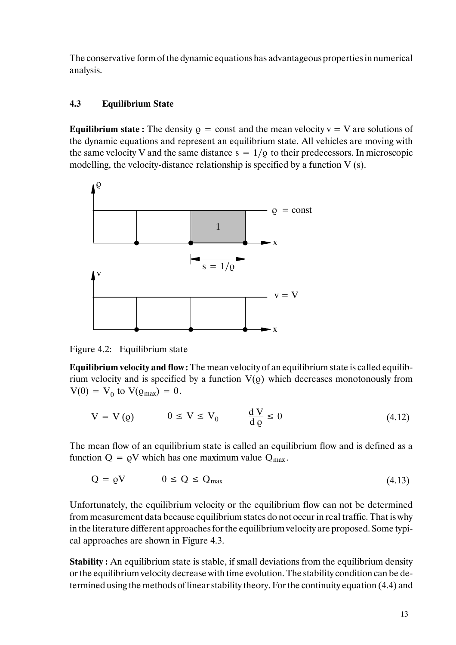The conservative form of the dynamic equations has advantageous properties in numerical analysis.

# **4.3 Equilibrium State**

**Equilibrium state :** The density  $\rho = \text{const}$  and the mean velocity  $v = V$  are solutions of the dynamic equations and represent an equilibrium state. All vehicles are moving with the same velocity V and the same distance  $s = 1/\rho$  to their predecessors. In microscopic modelling, the velocity-distance relationship is specified by a function  $V$  (s).



Figure 4.2: Equilibrium state

**Equilibrium velocity and flow :** The mean velocity of an equilibrium state is called equilibrium velocity and is specified by a function  $V(\rho)$  which decreases monotonously from  $V(0) = V_0$  to  $V(\rho_{max}) = 0$ .

$$
V = V(Q) \qquad 0 \le V \le V_0 \qquad \frac{dV}{dQ} \le 0 \tag{4.12}
$$

The mean flow of an equilibrium state is called an equilibrium flow and is defined as a function  $Q = \rho V$  which has one maximum value  $Q_{\text{max}}$ .

$$
Q = \varrho V \qquad \qquad 0 \le Q \le Q_{\text{max}} \tag{4.13}
$$

Unfortunately, the equilibrium velocity or the equilibrium flow can not be determined from measurement data because equilibrium states do not occur in real traffic. That is why in the literature different approaches for the equilibrium velocity are proposed. Some typical approaches are shown in Figure 4.3.

**Stability :** An equilibrium state is stable, if small deviations from the equilibrium density or the equilibrium velocity decrease with time evolution. The stability condition can be determined using the methods of linear stability theory. For the continuity equation (4.4) and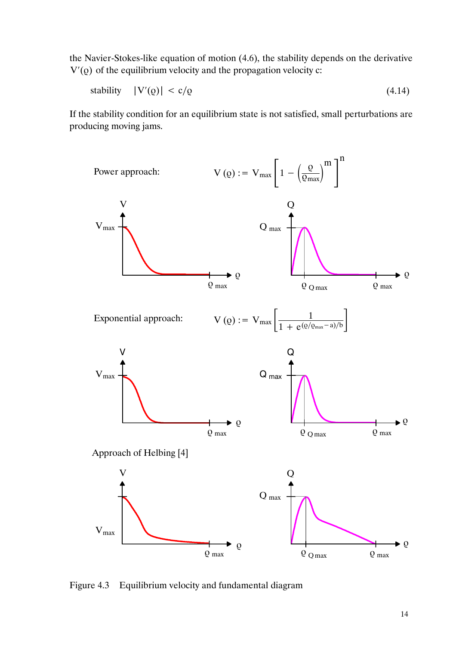the Navier-Stokes-like equation of motion (4.6), the stability depends on the derivative  $V'(\rho)$  of the equilibrium velocity and the propagation velocity c:

$$
stability \quad |V'(Q)| < c/Q \tag{4.14}
$$

If the stability condition for an equilibrium state is not satisfied, small perturbations are producing moving jams.



Figure 4.3 Equilibrium velocity and fundamental diagram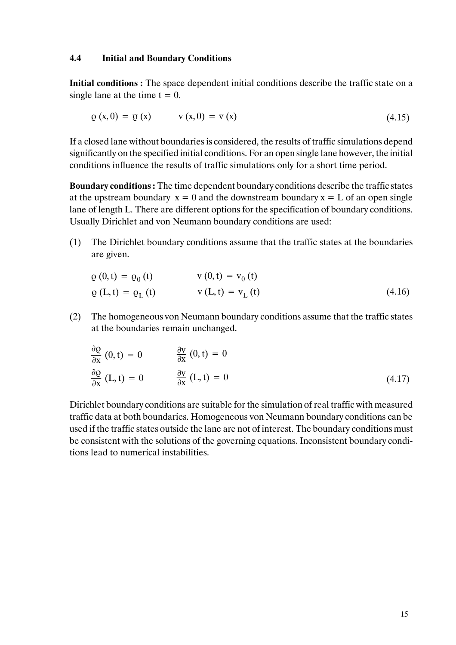#### **4.4 Initial and Boundary Conditions**

**Initial conditions :** The space dependent initial conditions describe the traffic state on a single lane at the time  $t = 0$ .

$$
\varrho(x,0) = \overline{\varrho}(x) \qquad \qquad v(x,0) = \overline{v}(x) \tag{4.15}
$$

If a closed lane without boundaries is considered, the results of traffic simulations depend significantly on the specified initial conditions. For an open single lane however, the initial conditions influence the results of traffic simulations only for a short time period.

**Boundary conditions :** The time dependent boundary conditions describe the traffic states at the upstream boundary  $x = 0$  and the downstream boundary  $x = L$  of an open single lane of length L. There are different options for the specification of boundary conditions. Usually Dirichlet and von Neumann boundary conditions are used:

(1) The Dirichlet boundary conditions assume that the traffic states at the boundaries are given.

$$
\varrho(0, t) = \varrho_0(t) \qquad \qquad v(0, t) = v_0(t) \n\varrho(L, t) = \varrho_L(t) \qquad \qquad v(L, t) = v_L(t) \qquad (4.16)
$$

(2) The homogeneous von Neumann boundary conditions assume that the traffic states at the boundaries remain unchanged.

$$
\frac{\partial Q}{\partial x} (0, t) = 0 \qquad \frac{\partial V}{\partial x} (0, t) = 0
$$
  

$$
\frac{\partial Q}{\partial x} (L, t) = 0 \qquad \frac{\partial V}{\partial x} (L, t) = 0
$$
 (4.17)

Dirichlet boundary conditions are suitable for the simulation of real traffic with measured traffic data at both boundaries. Homogeneous von Neumann boundary conditions can be used if the traffic states outside the lane are not of interest. The boundary conditions must be consistent with the solutions of the governing equations. Inconsistent boundary conditions lead to numerical instabilities.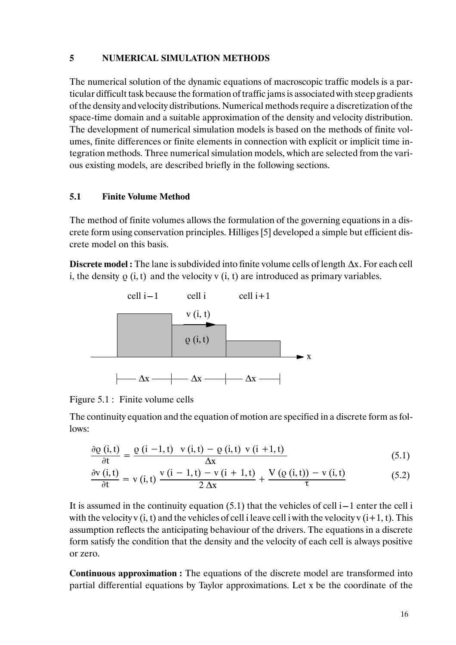### **5 NUMERICAL SIMULATION METHODS**

The numerical solution of the dynamic equations of macroscopic traffic models is a particular difficult task because the formation of traffic jams is associated with steep gradients of the density and velocity distributions. Numerical methods require a discretization of the space-time domain and a suitable approximation of the density and velocity distribution. The development of numerical simulation models is based on the methods of finite volumes, finite differences or finite elements in connection with explicit or implicit time integration methods. Three numerical simulation models, which are selected from the various existing models, are described briefly in the following sections.

# **5.1 Finite Volume Method**

The method of finite volumes allows the formulation of the governing equations in a discrete form using conservation principles. Hilliges [5] developed a simple but efficient discrete model on this basis.

**Discrete model :** The lane is subdivided into finite volume cells of length ∆x. For each cell i, the density  $\rho$  (i, t) and the velocity v (i, t) are introduced as primary variables.



Figure 5.1 : Finite volume cells

The continuity equation and the equation of motion are specified in a discrete form as follows:

$$
\frac{\partial \varrho(i,t)}{\partial t} = \frac{\varrho(i-1,t) \quad v(i,t) - \varrho(i,t) \quad v(i+1,t)}{\Delta x} \tag{5.1}
$$

$$
\frac{\partial v(i,t)}{\partial t} = v(i,t) \frac{v(i-1,t) - v(i+1,t)}{2 \Delta x} + \frac{V(\varrho(i,t)) - v(i,t)}{\tau}
$$
(5.2)

It is assumed in the continuity equation  $(5.1)$  that the vehicles of cell i–1 enter the cell i with the velocity v  $(i, t)$  and the vehicles of cell i leave cell i with the velocity v  $(i+1, t)$ . This assumption reflects the anticipating behaviour of the drivers. The equations in a discrete form satisfy the condition that the density and the velocity of each cell is always positive or zero.

**Continuous approximation :** The equations of the discrete model are transformed into partial differential equations by Taylor approximations. Let x be the coordinate of the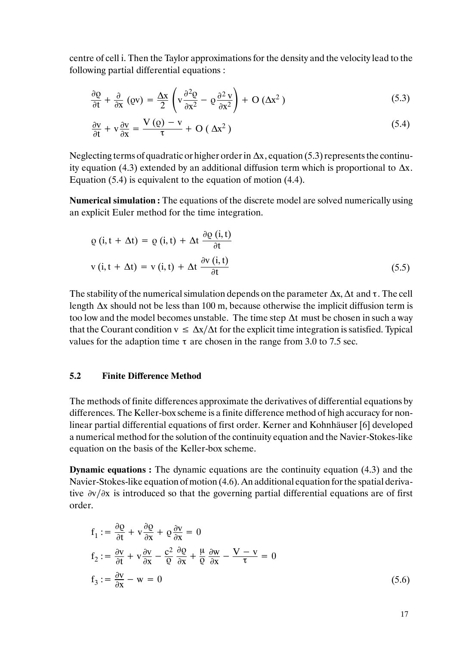centre of cell i. Then the Taylor approximations for the density and the velocity lead to the following partial differential equations :

$$
\frac{\partial \varrho}{\partial t} + \frac{\partial}{\partial x} (\varrho v) = \frac{\Delta x}{2} \left( v \frac{\partial^2 \varrho}{\partial x^2} - \varrho \frac{\partial^2 v}{\partial x^2} \right) + O \left( \Delta x^2 \right)
$$
(5.3)

$$
\frac{\partial v}{\partial t} + v \frac{\partial v}{\partial x} = \frac{V(Q) - v}{\tau} + O(\Delta x^2)
$$
\n(5.4)

Neglecting terms of quadratic or higher order in ∆x, equation (5.3) represents the continuity equation (4.3) extended by an additional diffusion term which is proportional to  $\Delta x$ . Equation (5.4) is equivalent to the equation of motion (4.4).

**Numerical simulation :** The equations of the discrete model are solved numerically using an explicit Euler method for the time integration.

$$
\varrho(i, t + \Delta t) = \varrho(i, t) + \Delta t \frac{\partial \varrho(i, t)}{\partial t}
$$
  
\n
$$
v(i, t + \Delta t) = v(i, t) + \Delta t \frac{\partial v(i, t)}{\partial t}
$$
 (5.5)

The stability of the numerical simulation depends on the parameter  $\Delta x$ ,  $\Delta t$  and  $\tau$ . The cell length ∆x should not be less than 100 m, because otherwise the implicit diffusion term is too low and the model becomes unstable. The time step ∆t must be chosen in such a way that the Courant condition  $v \leq \Delta x/\Delta t$  for the explicit time integration is satisfied. Typical values for the adaption time  $\tau$  are chosen in the range from 3.0 to 7.5 sec.

## **5.2 Finite Difference Method**

The methods of finite differences approximate the derivatives of differential equations by differences. The Keller-box scheme is a finite difference method of high accuracy for nonlinear partial differential equations of first order. Kerner and Kohnhäuser [6] developed a numerical method for the solution of the continuity equation and the Navier-Stokes-like equation on the basis of the Keller-box scheme.

**Dynamic equations :** The dynamic equations are the continuity equation (4.3) and the Navier-Stokes-like equation ofmotion (4.6). An additional equation for the spatial derivative ∂v∕∂x is introduced so that the governing partial differential equations are of first order.

$$
f_1 := \frac{\partial \varrho}{\partial t} + v \frac{\partial \varrho}{\partial x} + \varrho \frac{\partial v}{\partial x} = 0
$$
  
\n
$$
f_2 := \frac{\partial v}{\partial t} + v \frac{\partial v}{\partial x} - \frac{c^2}{\varrho} \frac{\partial \varrho}{\partial x} + \frac{\mu}{\varrho} \frac{\partial w}{\partial x} - \frac{V - v}{\tau} = 0
$$
  
\n
$$
f_3 := \frac{\partial v}{\partial x} - w = 0
$$
\n(5.6)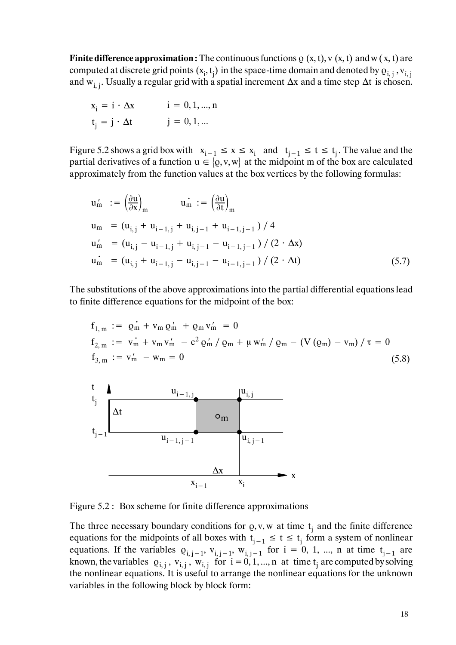**Finite difference approximation :** The continuous functions  $\varrho$  (x, t), v (x, t) and w (x, t) are computed at discrete grid points  $(x_i, t_j)$  in the space-time domain and denoted by  $\varrho_{i, j}$  ,  $v_{i, j}$ and w<sub>i, i</sub>. Usually a regular grid with a spatial increment  $\Delta x$  and a time step  $\Delta t$  is chosen.

$$
xi = i \cdot \Delta x \qquad i = 0, 1, ..., n
$$
  

$$
tj = j \cdot \Delta t \qquad j = 0, 1, ...
$$

Figure 5.2 shows a grid box with  $x_{i-1} \le x \le x_i$  and  $t_{i-1} \le t \le t_i$ . The value and the partial derivatives of a function  $u \in [0, v, w]$  at the midpoint m of the box are calculated approximately from the function values at the box vertices by the following formulas:

$$
u'_{m} := \left(\frac{\partial u}{\partial x}\right)_{m} \qquad u_{m} := \left(\frac{\partial u}{\partial t}\right)_{m}
$$
  
\n
$$
u_{m} = (u_{i,j} + u_{i-1,j} + u_{i,j-1} + u_{i-1,j-1})/4
$$
  
\n
$$
u'_{m} = (u_{i,j} - u_{i-1,j} + u_{i,j-1} - u_{i-1,j-1})/(2 \cdot \Delta x)
$$
  
\n
$$
u_{m} = (u_{i,j} + u_{i-1,j} - u_{i,j-1} - u_{i-1,j-1})/(2 \cdot \Delta t)
$$
\n(5.7)

The substitutions of the above approximations into the partial differential equations lead to finite difference equations for the midpoint of the box:

$$
f_{1,m} := \dot{\varrho}_{m} + v_{m} \varrho'_{m} + \varrho_{m} v'_{m} = 0
$$
  
\n
$$
f_{2,m} := \dot{v}_{m} + v_{m} v'_{m} - c^{2} \varrho'_{m} / \varrho_{m} + \mu w'_{m} / \varrho_{m} - (V (\varrho_{m}) - v_{m}) / \tau = 0
$$
  
\n
$$
f_{3,m} := v'_{m} - w_{m} = 0
$$
\n(5.8)



Figure 5.2 : Box scheme for finite difference approximations

The three necessary boundary conditions for  $\rho$ , v, w at time  $t_i$  and the finite difference equations for the midpoints of all boxes with  $t_{j-1} \le t \le t_j$  form a system of nonlinear equations. If the variables  $\varrho_{i,j-1}$ ,  $v_{i,j-1}$ ,  $w_{i,j-1}$  for  $i = 0, 1, ..., n$  at time  $t_{j-1}$  are known, the variables  $\varrho_{i,j}$ ,  $v_{i,j}$ ,  $w_{i,j}$  for  $i = 0, 1, ..., n$  at time  $t_j$  are computed by solving the nonlinear equations. It is useful to arrange the nonlinear equations for the unknown variables in the following block by block form: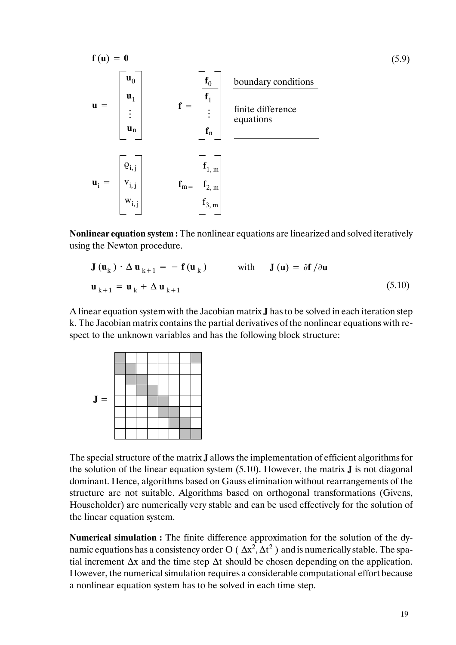

**Nonlinear equation system :** The nonlinear equations are linearized and solved iteratively using the Newton procedure.

$$
\mathbf{J}(\mathbf{u}_{k}) \cdot \Delta \mathbf{u}_{k+1} = -\mathbf{f}(\mathbf{u}_{k}) \quad \text{with} \quad \mathbf{J}(\mathbf{u}) = \partial \mathbf{f} / \partial \mathbf{u}
$$
  

$$
\mathbf{u}_{k+1} = \mathbf{u}_{k} + \Delta \mathbf{u}_{k+1} \tag{5.10}
$$

A linear equation system with the Jacobian matrix **J** has to be solved in each iteration step k. The Jacobian matrix contains the partial derivatives of the nonlinear equations with respect to the unknown variables and has the following block structure:



The special structure of the matrix **J** allows the implementation of efficient algorithms for the solution of the linear equation system (5.10). However, the matrix **J** is not diagonal dominant. Hence, algorithms based on Gauss elimination without rearrangements of the structure are not suitable. Algorithms based on orthogonal transformations (Givens, Householder) are numerically very stable and can be used effectively for the solution of the linear equation system.

**Numerical simulation :** The finite difference approximation for the solution of the dynamic equations has a consistency order O ( $\Delta x^2$ ,  $\Delta t^2$ ) and is numerically stable. The spatial increment ∆x and the time step ∆t should be chosen depending on the application. However, the numerical simulation requires a considerable computational effort because a nonlinear equation system has to be solved in each time step.

(5.9)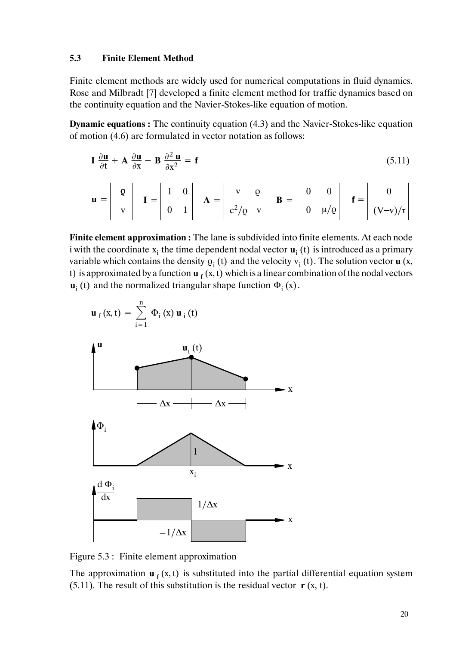### **5.3 Finite Element Method**

Finite element methods are widely used for numerical computations in fluid dynamics. Rose and Milbradt [7] developed a finite element method for traffic dynamics based on the continuity equation and the Navier-Stokes-like equation of motion.

**Dynamic equations :** The continuity equation (4.3) and the Navier-Stokes-like equation of motion (4.6) are formulated in vector notation as follows:

$$
\mathbf{I} \frac{\partial \mathbf{u}}{\partial t} + \mathbf{A} \frac{\partial \mathbf{u}}{\partial x} - \mathbf{B} \frac{\partial^2 \mathbf{u}}{\partial x^2} = \mathbf{f} \tag{5.11}
$$

$$
\mathbf{u} = \begin{bmatrix} \mathbf{Q} \\ \mathbf{v} \end{bmatrix} \quad \mathbf{I} = \begin{bmatrix} 1 & 0 \\ 0 & 1 \end{bmatrix} \quad \mathbf{A} = \begin{bmatrix} \mathbf{v} & \mathbf{Q} \\ \mathbf{c}^2/\mathbf{Q} & \mathbf{v} \end{bmatrix} \quad \mathbf{B} = \begin{bmatrix} 0 & 0 \\ 0 & \mu/\mathbf{Q} \end{bmatrix} \quad \mathbf{f} = \begin{bmatrix} 0 \\ (\mathbf{V}-\mathbf{v})/\mathbf{r} \end{bmatrix}
$$

**Finite element approximation :** The lane is subdivided into finite elements. At each node i with the coordinate  $x_i$  the time dependent nodal vector  $\mathbf{u}_i$  (t) is introduced as a primary variable which contains the density  $\rho_i(t)$  and the velocity  $v_i(t)$ . The solution vector **u** (x, t) is approximated by a function  $\mathbf{u}_f$  (x, t) which is a linear combination of the nodal vectors  $\mathbf{u}_i$  (t) and the normalized triangular shape function  $\Phi_i$  (x).

$$
\mathbf{u}_{f}(x,t) = \sum_{i=1}^{n} \Phi_{i}(x) \mathbf{u}_{i}(t)
$$



Figure 5.3 : Finite element approximation

The approximation  $\mathbf{u}_f$  (x, t) is substituted into the partial differential equation system (5.11). The result of this substitution is the residual vector  $\mathbf{r}$  (x, t).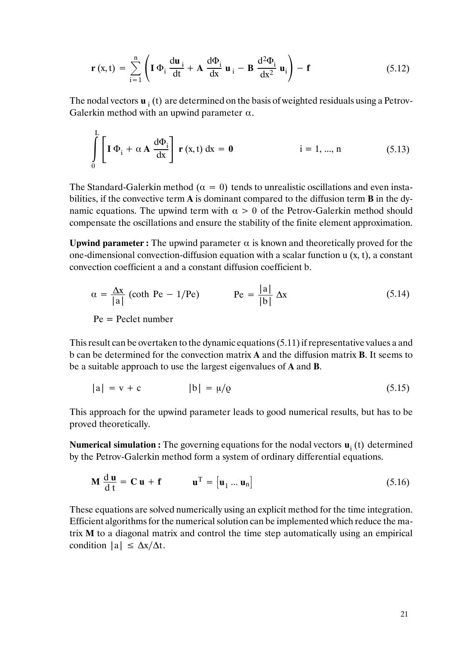$$
\mathbf{r}(x,t) = \sum_{i=1}^{n} \left( \mathbf{I} \, \Phi_i \, \frac{d\mathbf{u}_i}{dt} + \mathbf{A} \, \frac{d\Phi_i}{dx} \, \mathbf{u}_i - \mathbf{B} \, \frac{d^2\Phi_i}{dx^2} \, \mathbf{u}_i \right) - \mathbf{f} \tag{5.12}
$$

The nodal vectors  $\mathbf{u}_i$  (t) are determined on the basis of weighted residuals using a Petrov-Galerkin method with an upwind parameter  $\alpha$ .

$$
\int_{0}^{L} \left[ \mathbf{I} \, \Phi_{i} + \alpha \, \mathbf{A} \, \frac{d\Phi_{i}}{dx} \right] \, \mathbf{r} \left( x, t \right) dx = \mathbf{0} \qquad \text{i} = 1, \dots, n \tag{5.13}
$$

The Standard-Galerkin method ( $\alpha = 0$ ) tends to unrealistic oscillations and even instabilities, if the convective term **A** is dominant compared to the diffusion term **B** in the dynamic equations. The upwind term with  $\alpha > 0$  of the Petrov-Galerkin method should compensate the oscillations and ensure the stability of the finite element approximation.

**Upwind parameter :** The upwind parameter  $\alpha$  is known and theoretically proved for the one-dimensional convection-diffusion equation with a scalar function u (x, t), a constant convection coefficient a and a constant diffusion coefficient b.

$$
\alpha = \frac{\Delta x}{|a|} \text{ (coth Pe} - 1/\text{Pe}) \qquad \text{Pe} = \frac{|a|}{|b|} \Delta x \tag{5.14}
$$

$$
Pe = Peclet number
$$

This result can be overtaken to the dynamic equations (5.11) if representative values a and b can be determined for the convection matrix **A** and the diffusion matrix **B**. It seems to be a suitable approach to use the largest eigenvalues of **A** and **B**.

$$
|a| = v + c \qquad |b| = \mu/\varrho \qquad (5.15)
$$

This approach for the upwind parameter leads to good numerical results, but has to be proved theoretically.

**Numerical simulation :** The governing equations for the nodal vectors **u**<sub>i</sub> (t) determined by the Petrov-Galerkin method form a system of ordinary differential equations.

$$
\mathbf{M} \frac{d \mathbf{u}}{dt} = \mathbf{C} \mathbf{u} + \mathbf{f} \qquad \mathbf{u}^{\mathrm{T}} = [\mathbf{u}_1 \dots \mathbf{u}_n]
$$
 (5.16)

These equations are solved numerically using an explicit method for the time integration. Efficient algorithms for the numerical solution can be implemented which reduce the matrix **M** to a diagonal matrix and control the time step automatically using an empirical condition  $|a| \leq \Delta x/\Delta t$ .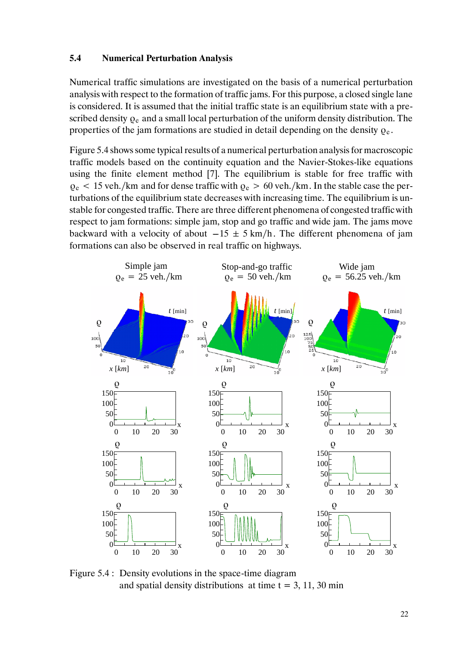#### **5.4 Numerical Perturbation Analysis**

Numerical traffic simulations are investigated on the basis of a numerical perturbation analysis with respect to the formation of traffic jams. For this purpose, a closed single lane is considered. It is assumed that the initial traffic state is an equilibrium state with a prescribed density  $\rho_e$  and a small local perturbation of the uniform density distribution. The properties of the jam formations are studied in detail depending on the density  $\rho_e$ .

Figure 5.4 shows some typical results of a numerical perturbation analysis for macroscopic traffic models based on the continuity equation and the Navier-Stokes-like equations using the finite element method [7]. The equilibrium is stable for free traffic with  $\rho_e$  < 15 veh./km and for dense traffic with  $\rho_e > 60$  veh./km. In the stable case the perturbations of the equilibrium state decreases with increasing time. The equilibrium is unstable for congested traffic. There are three different phenomena of congested traffic with respect to jam formations: simple jam, stop and go traffic and wide jam. The jams move backward with a velocity of about  $-15 \pm 5$  km/h. The different phenomena of jam formations can also be observed in real traffic on highways.



Figure 5.4 : Density evolutions in the space-time diagram and spatial density distributions at time  $t = 3, 11, 30$  min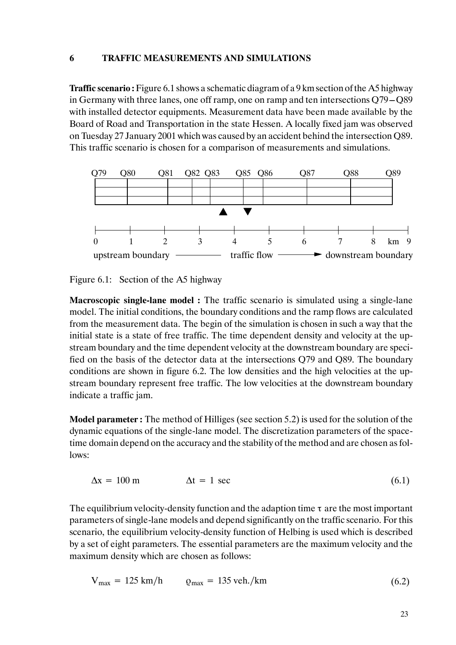#### **6 TRAFFIC MEASUREMENTS AND SIMULATIONS**

**Traffic scenario :** Figure 6.1 shows a schematic diagram of a 9 km section of the A5 highway in Germany with three lanes, one off ramp, one on ramp and ten intersections  $Q79 - Q89$ with installed detector equipments. Measurement data have been made available by the Board of Road and Transportation in the state Hessen. A locally fixed jam was observed on Tuesday 27 January 2001 which was caused by an accident behind the intersection Q89. This traffic scenario is chosen for a comparison of measurements and simulations.



Figure 6.1: Section of the A5 highway

**Macroscopic single-lane model :** The traffic scenario is simulated using a single-lane model. The initial conditions, the boundary conditions and the ramp flows are calculated from the measurement data. The begin of the simulation is chosen in such a way that the initial state is a state of free traffic. The time dependent density and velocity at the upstream boundary and the time dependent velocity at the downstream boundary are specified on the basis of the detector data at the intersections Q79 and Q89. The boundary conditions are shown in figure 6.2. The low densities and the high velocities at the upstream boundary represent free traffic. The low velocities at the downstream boundary indicate a traffic jam.

**Model parameter :** The method of Hilliges (see section 5.2) is used for the solution of the dynamic equations of the single-lane model. The discretization parameters of the spacetime domain depend on the accuracy and the stability of the method and are chosen as follows:

$$
\Delta x = 100 \text{ m} \qquad \Delta t = 1 \text{ sec} \tag{6.1}
$$

The equilibrium velocity-density function and the adaption time  $\tau$  are the most important parameters of single-lane models and depend significantly on the traffic scenario. For this scenario, the equilibrium velocity-density function of Helbing is used which is described by a set of eight parameters. The essential parameters are the maximum velocity and the maximum density which are chosen as follows:

$$
V_{\text{max}} = 125 \text{ km/h} \qquad \varrho_{\text{max}} = 135 \text{ veh./km} \tag{6.2}
$$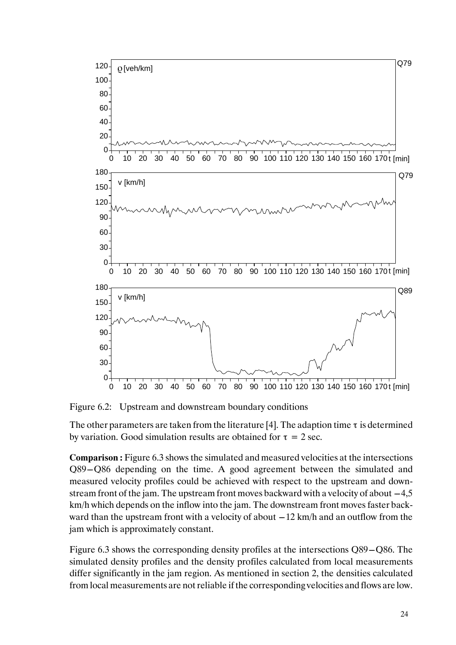

Figure 6.2: Upstream and downstream boundary conditions

The other parameters are taken from the literature [4]. The adaption time  $\tau$  is determined by variation. Good simulation results are obtained for  $\tau = 2$  sec.

**Comparison :** Figure 6.3 shows the simulated and measured velocities at the intersections  $Q89 - Q86$  depending on the time. A good agreement between the simulated and measured velocity profiles could be achieved with respect to the upstream and downstream front of the jam. The upstream front moves backward with a velocity of about  $-4,5$ km/h which depends on the inflow into the jam. The downstream front moves faster backward than the upstream front with a velocity of about  $-12$  km/h and an outflow from the jam which is approximately constant.

Figure 6.3 shows the corresponding density profiles at the intersections  $Q89 - Q86$ . The simulated density profiles and the density profiles calculated from local measurements differ significantly in the jam region. As mentioned in section 2, the densities calculated from local measurements are not reliable if the corresponding velocities and flows are low.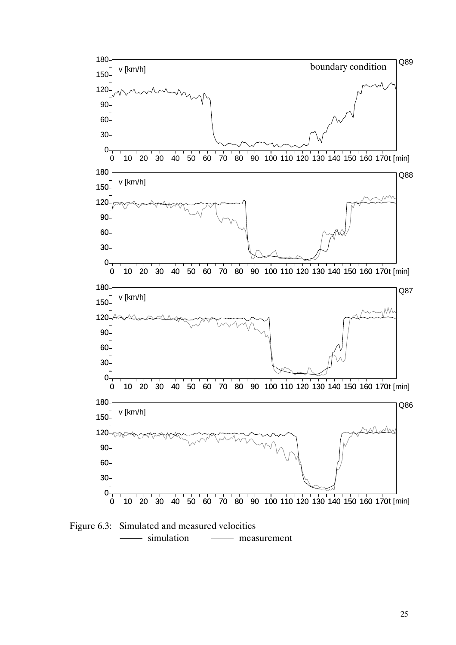

Figure 6.3: Simulated and measured velocities - simulation — measurement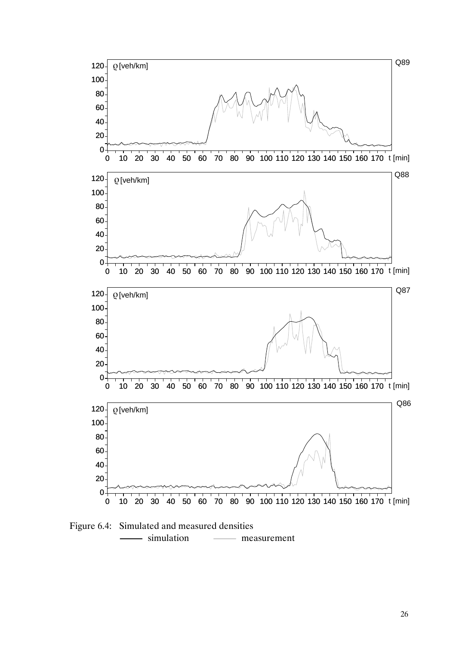

Figure 6.4: Simulated and measured densities simulation — measurement